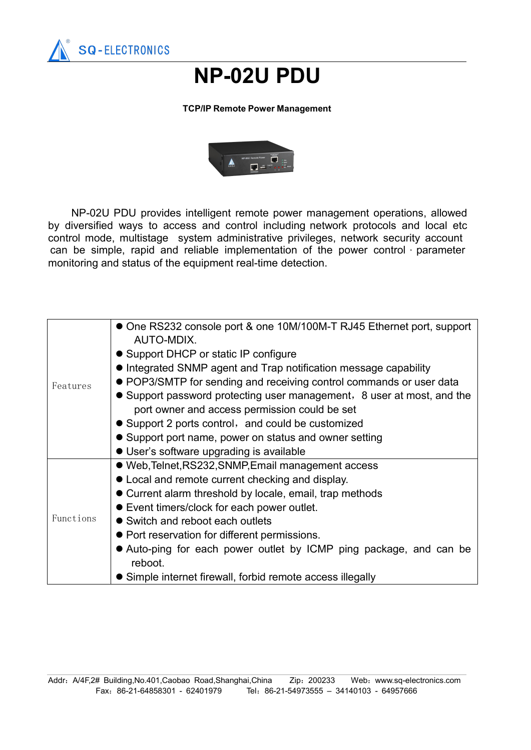

## **NP-02U PDU**

## **TCP/IP Remote Power Management**



NP-02U PDU provides intelligent remote power management operations, allowed by diversified ways to access and control including network protocols and local etc control mode, multistage system administrative privileges, network security account can be simple, rapid and reliable implementation of the power control, parameter monitoring and status of the equipment real-time detection.

| Features  | • One RS232 console port & one 10M/100M-T RJ45 Ethernet port, support<br>AUTO-MDIX. |
|-----------|-------------------------------------------------------------------------------------|
|           | • Support DHCP or static IP configure                                               |
|           | • Integrated SNMP agent and Trap notification message capability                    |
|           | • POP3/SMTP for sending and receiving control commands or user data                 |
|           | • Support password protecting user management, 8 user at most, and the              |
|           | port owner and access permission could be set                                       |
|           | • Support 2 ports control, and could be customized                                  |
|           | • Support port name, power on status and owner setting                              |
|           | • User's software upgrading is available                                            |
| Functions | • Web, Telnet, RS232, SNMP, Email management access                                 |
|           | • Local and remote current checking and display.                                    |
|           | • Current alarm threshold by locale, email, trap methods                            |
|           | • Event timers/clock for each power outlet.                                         |
|           | • Switch and reboot each outlets                                                    |
|           | • Port reservation for different permissions.                                       |
|           | • Auto-ping for each power outlet by ICMP ping package, and can be                  |
|           | reboot.                                                                             |
|           | • Simple internet firewall, forbid remote access illegally                          |